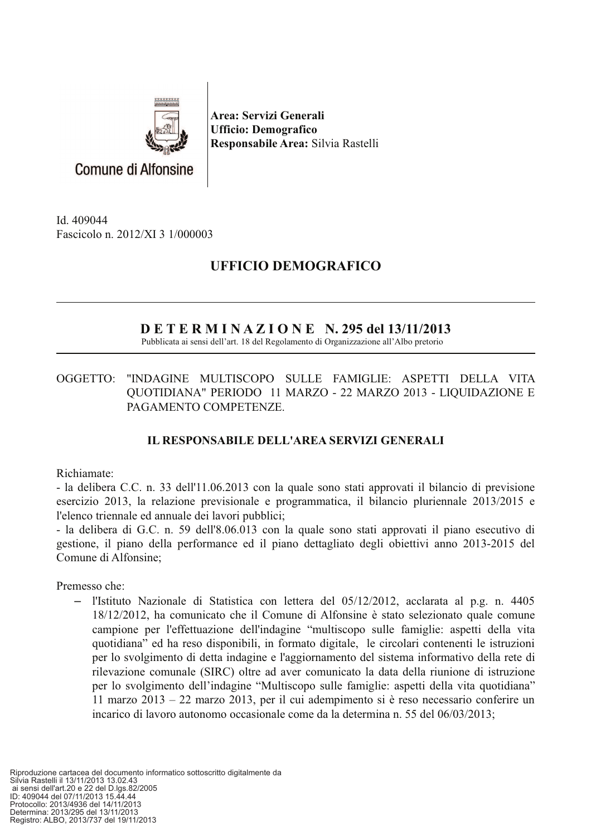

Area: Servizi Generali **Ufficio: Demografico** Responsabile Area: Silvia Rastelli

Id. 409044 Fascicolo n. 2012/XI 3 1/000003

## **UFFICIO DEMOGRAFICO**

## $D E T E R M I N A Z I O N E N.$  295 del 13/11/2013

Pubblicata ai sensi dell'art. 18 del Regolamento di Organizzazione all'Albo pretorio

OGGETTO: "INDAGINE MULTISCOPO SULLE FAMIGLIE: ASPETTI DELLA VITA QUOTIDIANA" PERIODO 11 MARZO - 22 MARZO 2013 - LIQUIDAZIONE E PAGAMENTO COMPETENZE.

## **IL RESPONSABILE DELL'AREA SERVIZI GENERALI**

Richiamate:

- la delibera C.C. n. 33 dell'11.06.2013 con la quale sono stati approvati il bilancio di previsione esercizio 2013, la relazione previsionale e programmatica, il bilancio pluriennale 2013/2015 e l'elenco triennale ed annuale dei lavori pubblici;

- la delibera di G.C. n. 59 dell'8.06.013 con la quale sono stati approvati il piano esecutivo di gestione, il piano della performance ed il piano dettagliato degli obiettivi anno 2013-2015 del Comune di Alfonsine;

Premesso che:

- l'Istituto Nazionale di Statistica con lettera del  $05/12/2012$ , acclarata al p.g. n. 4405 18/12/2012, ha comunicato che il Comune di Alfonsine è stato selezionato quale comune campione per l'effettuazione dell'indagine "multiscopo sulle famiglie: aspetti della vita quotidiana" ed ha reso disponibili, in formato digitale, le circolari contenenti le istruzioni per lo svolgimento di detta indagine e l'aggiornamento del sistema informativo della rete di rilevazione comunale (SIRC) oltre ad aver comunicato la data della riunione di istruzione per lo svolgimento dell'indagine "Multiscopo sulle famiglie: aspetti della vita quotidiana" 11 marzo 2013 – 22 marzo 2013, per il cui adempimento si è reso necessario conferire un incarico di lavoro autonomo occasionale come da la determina n. 55 del 06/03/2013;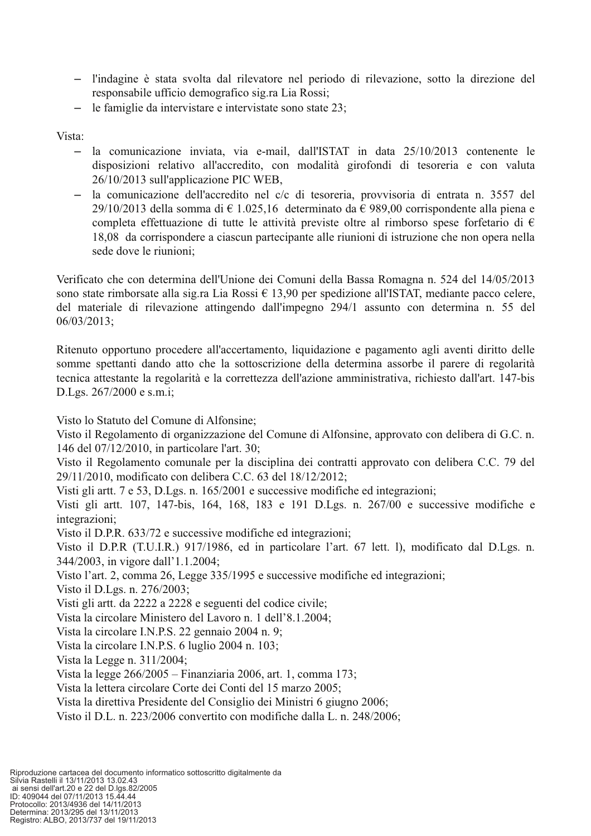- l'indagine è stata svolta dal rilevatore nel periodo di rilevazione, sotto la direzione del responsabile ufficio demografico sig.ra Lia Rossi;
- le famiglie da intervistare e intervistate sono state 23:  $\,$

Vista:

- la comunicazione inviata, via e-mail, dall'ISTAT in data 25/10/2013 contenente le  $\,$ disposizioni relativo all'accredito, con modalità girofondi di tesoreria e con valuta 26/10/2013 sull'applicazione PIC WEB,
- la comunicazione dell'accredito nel c/c di tesoreria, provvisoria di entrata n. 3557 del 29/10/2013 della somma di  $\in$  1.025,16 determinato da  $\in$  989,00 corrispondente alla piena e completa effettuazione di tutte le attività previste oltre al rimborso spese forfetario di  $\epsilon$ 18,08 da corrispondere a ciascun partecipante alle riunioni di istruzione che non opera nella sede dove le riunioni;

Verificato che con determina dell'Unione dei Comuni della Bassa Romagna n. 524 del 14/05/2013 sono state rimborsate alla sig.ra Lia Rossi  $\epsilon$  13,90 per spedizione all'ISTAT, mediante pacco celere, del materiale di rilevazione attingendo dall'impegno 294/1 assunto con determina n. 55 del  $06/03/2013;$ 

Ritenuto opportuno procedere all'accertamento, liquidazione e pagamento agli aventi diritto delle somme spettanti dando atto che la sottoscrizione della determina assorbe il parere di regolarità tecnica attestante la regolarità e la correttezza dell'azione amministrativa, richiesto dall'art. 147-bis D.Lgs. 267/2000 e s.m.i;

Visto lo Statuto del Comune di Alfonsine:

Visto il Regolamento di organizzazione del Comune di Alfonsine, approvato con delibera di G.C. n. 146 del 07/12/2010, in particolare l'art. 30;

Visto il Regolamento comunale per la disciplina dei contratti approvato con delibera C.C. 79 del 29/11/2010, modificato con delibera C.C. 63 del 18/12/2012;

Visti gli artt. 7 e 53, D.Lgs. n. 165/2001 e successive modifiche ed integrazioni:

Visti gli artt. 107, 147-bis, 164, 168, 183 e 191 D.Lgs. n. 267/00 e successive modifiche e integrazioni:

Visto il D.P.R. 633/72 e successive modifiche ed integrazioni;

Visto il D.P.R (T.U.I.R.) 917/1986, ed in particolare l'art. 67 lett. l), modificato dal D.Lgs. n. 344/2003, in vigore dall'1.1.2004;

Visto l'art. 2, comma 26, Legge 335/1995 e successive modifiche ed integrazioni;

Visto il D.Lgs. n. 276/2003;

Visti gli artt. da 2222 a 2228 e seguenti del codice civile;

Vista la circolare Ministero del Lavoro n. 1 dell'8.1.2004;

Vista la circolare I.N.P.S. 22 gennaio 2004 n. 9;

Vista la circolare I.N.P.S. 6 luglio 2004 n. 103;

Vista la Legge n. 311/2004;

Vista la legge 266/2005 – Finanziaria 2006, art. 1, comma 173;

Vista la lettera circolare Corte dei Conti del 15 marzo 2005;

Vista la direttiva Presidente del Consiglio dei Ministri 6 giugno 2006;

Visto il D.L. n. 223/2006 convertito con modifiche dalla L. n. 248/2006;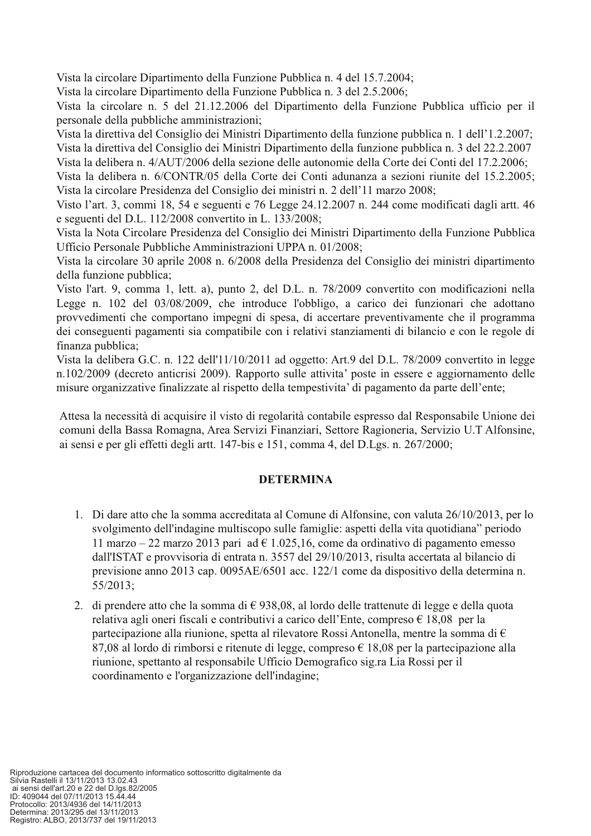Vista la circolare Dipartimento della Funzione Pubblica n. 4 del 15.7.2004;

Vista la circolare Dipartimento della Funzione Pubblica n. 3 del 2.5.2006;

Vista la circolare n. 5 del 21.12.2006 del Dipartimento della Funzione Pubblica ufficio per il personale della pubbliche amministrazioni;

Vista la direttiva del Consiglio dei Ministri Dipartimento della funzione pubblica n. 1 dell'1.2.2007; Vista la direttiva del Consiglio dei Ministri Dipartimento della funzione pubblica n. 3 del 22.2.2007 Vista la delibera n. 4/AUT/2006 della sezione delle autonomie della Corte dei Conti del 17.2.2006:

Vista la delibera n. 6/CONTR/05 della Corte dei Conti adunanza a sezioni riunite del 15.2.2005; Vista la circolare Presidenza del Consiglio dei ministri n. 2 dell'11 marzo 2008;

Visto l'art. 3, commi 18, 54 e seguenti e 76 Legge 24.12.2007 n. 244 come modificati dagli artt. 46 e seguenti del D.L. 112/2008 convertito in L. 133/2008;

Vista la Nota Circolare Presidenza del Consiglio dei Ministri Dipartimento della Funzione Pubblica Ufficio Personale Pubbliche Amministrazioni UPPA n. 01/2008;

Vista la circolare 30 aprile 2008 n. 6/2008 della Presidenza del Consiglio dei ministri dipartimento della funzione pubblica;

Visto l'art. 9, comma 1, lett. a), punto 2, del D.L. n. 78/2009 convertito con modificazioni nella Legge n. 102 del 03/08/2009, che introduce l'obbligo, a carico dei funzionari che adottano provvedimenti che comportano impegni di spesa, di accertare preventivamente che il programma dei conseguenti pagamenti sia compatibile con i relativi stanziamenti di bilancio e con le regole di finanza pubblica:

Vista la delibera G.C. n. 122 dell'11/10/2011 ad oggetto: Art.9 del D.L. 78/2009 convertito in legge n.102/2009 (decreto anticrisi 2009). Rapporto sulle attivita' poste in essere e aggiornamento delle misure organizzative finalizzate al rispetto della tempestivita' di pagamento da parte dell'ente;

Attesa la necessità di acquisire il visto di regolarità contabile espresso dal Responsabile Unione dei comuni della Bassa Romagna, Area Servizi Finanziari, Settore Ragioneria, Servizio U.T Alfonsine, ai sensi e per gli effetti degli artt. 147-bis e 151, comma 4, del D.Lgs. n. 267/2000;

## **DETERMINA**

- 1. Di dare atto che la somma accreditata al Comune di Alfonsine, con valuta 26/10/2013, per lo svolgimento dell'indagine multiscopo sulle famiglie: aspetti della vita quotidiana" periodo 11 marzo – 22 marzo 2013 pari ad  $\epsilon$  1.025,16, come da ordinativo di pagamento emesso dall'ISTAT e provvisoria di entrata n. 3557 del 29/10/2013, risulta accertata al bilancio di previsione anno 2013 cap. 0095AE/6501 acc. 122/1 come da dispositivo della determina n.  $55/2013$ :
- 2. di prendere atto che la somma di  $\epsilon$  938,08, al lordo delle trattenute di legge e della quota relativa agli oneri fiscali e contributivi a carico dell'Ente, compreso  $\epsilon$  18,08 per la partecipazione alla riunione, spetta al rilevatore Rossi Antonella, mentre la somma di  $\epsilon$ 87,08 al lordo di rimborsi e ritenute di legge, compreso  $\epsilon$  18,08 per la partecipazione alla riunione, spettanto al responsabile Ufficio Demografico sig.ra Lia Rossi per il coordinamento e l'organizzazione dell'indagine;